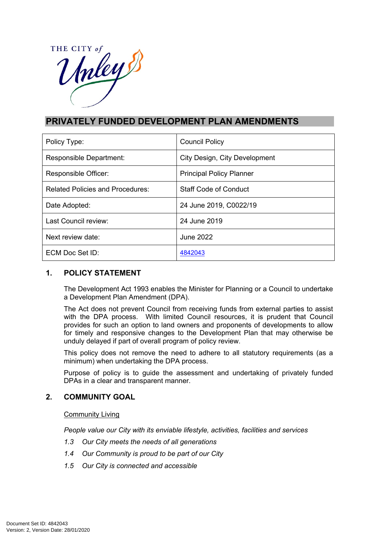

# **PRIVATELY FUNDED DEVELOPMENT PLAN AMENDMENTS**

| Policy Type:                            | <b>Council Policy</b>           |
|-----------------------------------------|---------------------------------|
| Responsible Department:                 | City Design, City Development   |
| Responsible Officer:                    | <b>Principal Policy Planner</b> |
| <b>Related Policies and Procedures:</b> | <b>Staff Code of Conduct</b>    |
| Date Adopted:                           | 24 June 2019, C0022/19          |
| Last Council review:                    | 24 June 2019                    |
| Next review date:                       | June 2022                       |
| ECM Doc Set ID:                         | 4842043                         |

## **1. POLICY STATEMENT**

The Development Act 1993 enables the Minister for Planning or a Council to undertake a Development Plan Amendment (DPA).

The Act does not prevent Council from receiving funds from external parties to assist with the DPA process. With limited Council resources, it is prudent that Council provides for such an option to land owners and proponents of developments to allow for timely and responsive changes to the Development Plan that may otherwise be unduly delayed if part of overall program of policy review.

This policy does not remove the need to adhere to all statutory requirements (as a minimum) when undertaking the DPA process.

Purpose of policy is to guide the assessment and undertaking of privately funded DPAs in a clear and transparent manner.

## **2. COMMUNITY GOAL**

### Community Living

*People value our City with its enviable lifestyle, activities, facilities and services*

- *1.3 Our City meets the needs of all generations*
- *1.4 Our Community is proud to be part of our City*
- *1.5 Our City is connected and accessible*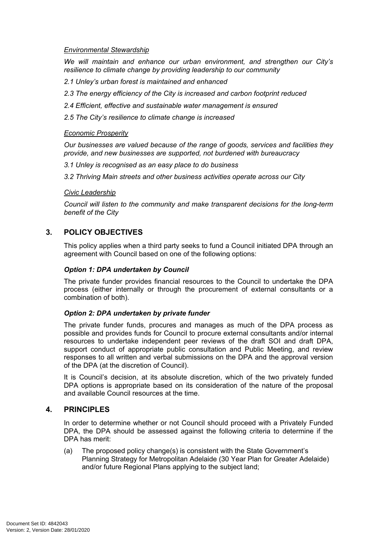### *Environmental Stewardship*

*We will maintain and enhance our urban environment, and strengthen our City's resilience to climate change by providing leadership to our community*

- *2.1 Unley's urban forest is maintained and enhanced*
- *2.3 The energy efficiency of the City is increased and carbon footprint reduced*
- *2.4 Efficient, effective and sustainable water management is ensured*
- *2.5 The City's resilience to climate change is increased*

#### *Economic Prosperity*

*Our businesses are valued because of the range of goods, services and facilities they provide, and new businesses are supported, not burdened with bureaucracy*

*3.1 Unley is recognised as an easy place to do business*

*3.2 Thriving Main streets and other business activities operate across our City*

#### *Civic Leadership*

*Council will listen to the community and make transparent decisions for the long-term benefit of the City*

### **3. POLICY OBJECTIVES**

This policy applies when a third party seeks to fund a Council initiated DPA through an agreement with Council based on one of the following options:

#### *Option 1: DPA undertaken by Council*

The private funder provides financial resources to the Council to undertake the DPA process (either internally or through the procurement of external consultants or a combination of both).

#### *Option 2: DPA undertaken by private funder*

The private funder funds, procures and manages as much of the DPA process as possible and provides funds for Council to procure external consultants and/or internal resources to undertake independent peer reviews of the draft SOI and draft DPA, support conduct of appropriate public consultation and Public Meeting, and review responses to all written and verbal submissions on the DPA and the approval version of the DPA (at the discretion of Council).

It is Council's decision, at its absolute discretion, which of the two privately funded DPA options is appropriate based on its consideration of the nature of the proposal and available Council resources at the time.

### **4. PRINCIPLES**

In order to determine whether or not Council should proceed with a Privately Funded DPA, the DPA should be assessed against the following criteria to determine if the DPA has merit:

(a) The proposed policy change(s) is consistent with the State Government's Planning Strategy for Metropolitan Adelaide (30 Year Plan for Greater Adelaide) and/or future Regional Plans applying to the subject land;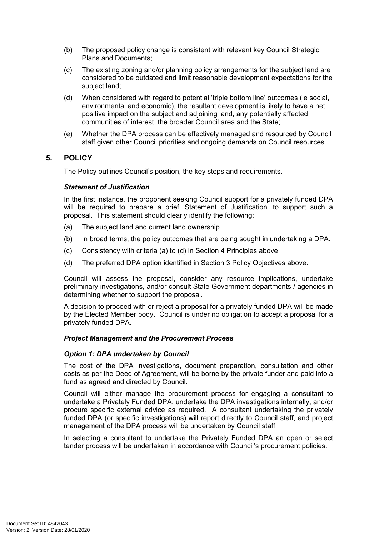- (b) The proposed policy change is consistent with relevant key Council Strategic Plans and Documents;
- (c) The existing zoning and/or planning policy arrangements for the subject land are considered to be outdated and limit reasonable development expectations for the subject land;
- (d) When considered with regard to potential 'triple bottom line' outcomes (ie social, environmental and economic), the resultant development is likely to have a net positive impact on the subject and adjoining land, any potentially affected communities of interest, the broader Council area and the State;
- (e) Whether the DPA process can be effectively managed and resourced by Council staff given other Council priorities and ongoing demands on Council resources.

### **5. POLICY**

The Policy outlines Council's position, the key steps and requirements.

### *Statement of Justification*

In the first instance, the proponent seeking Council support for a privately funded DPA will be required to prepare a brief 'Statement of Justification' to support such a proposal. This statement should clearly identify the following:

- (a) The subject land and current land ownership.
- (b) In broad terms, the policy outcomes that are being sought in undertaking a DPA.
- (c) Consistency with criteria (a) to (d) in Section 4 Principles above.
- (d) The preferred DPA option identified in Section 3 Policy Objectives above.

Council will assess the proposal, consider any resource implications, undertake preliminary investigations, and/or consult State Government departments / agencies in determining whether to support the proposal.

A decision to proceed with or reject a proposal for a privately funded DPA will be made by the Elected Member body. Council is under no obligation to accept a proposal for a privately funded DPA.

### *Project Management and the Procurement Process*

### *Option 1: DPA undertaken by Council*

The cost of the DPA investigations, document preparation, consultation and other costs as per the Deed of Agreement, will be borne by the private funder and paid into a fund as agreed and directed by Council.

Council will either manage the procurement process for engaging a consultant to undertake a Privately Funded DPA, undertake the DPA investigations internally, and/or procure specific external advice as required. A consultant undertaking the privately funded DPA (or specific investigations) will report directly to Council staff, and project management of the DPA process will be undertaken by Council staff.

In selecting a consultant to undertake the Privately Funded DPA an open or select tender process will be undertaken in accordance with Council's procurement policies.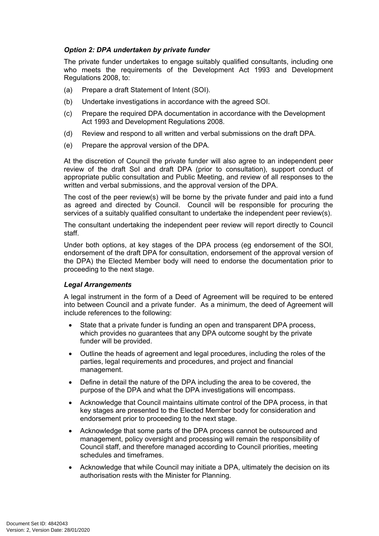### *Option 2: DPA undertaken by private funder*

The private funder undertakes to engage suitably qualified consultants, including one who meets the requirements of the Development Act 1993 and Development Regulations 2008, to:

- (a) Prepare a draft Statement of Intent (SOI).
- (b) Undertake investigations in accordance with the agreed SOI.
- (c) Prepare the required DPA documentation in accordance with the Development Act 1993 and Development Regulations 2008.
- (d) Review and respond to all written and verbal submissions on the draft DPA.
- (e) Prepare the approval version of the DPA.

At the discretion of Council the private funder will also agree to an independent peer review of the draft SoI and draft DPA (prior to consultation), support conduct of appropriate public consultation and Public Meeting, and review of all responses to the written and verbal submissions, and the approval version of the DPA.

The cost of the peer review(s) will be borne by the private funder and paid into a fund as agreed and directed by Council. Council will be responsible for procuring the services of a suitably qualified consultant to undertake the independent peer review(s).

The consultant undertaking the independent peer review will report directly to Council staff.

Under both options, at key stages of the DPA process (eg endorsement of the SOI, endorsement of the draft DPA for consultation, endorsement of the approval version of the DPA) the Elected Member body will need to endorse the documentation prior to proceeding to the next stage.

### *Legal Arrangements*

A legal instrument in the form of a Deed of Agreement will be required to be entered into between Council and a private funder. As a minimum, the deed of Agreement will include references to the following:

- State that a private funder is funding an open and transparent DPA process, which provides no quarantees that any DPA outcome sought by the private funder will be provided.
- Outline the heads of agreement and legal procedures, including the roles of the parties, legal requirements and procedures, and project and financial management.
- Define in detail the nature of the DPA including the area to be covered, the purpose of the DPA and what the DPA investigations will encompass.
- Acknowledge that Council maintains ultimate control of the DPA process, in that key stages are presented to the Elected Member body for consideration and endorsement prior to proceeding to the next stage.
- Acknowledge that some parts of the DPA process cannot be outsourced and management, policy oversight and processing will remain the responsibility of Council staff, and therefore managed according to Council priorities, meeting schedules and timeframes.
- Acknowledge that while Council may initiate a DPA, ultimately the decision on its authorisation rests with the Minister for Planning.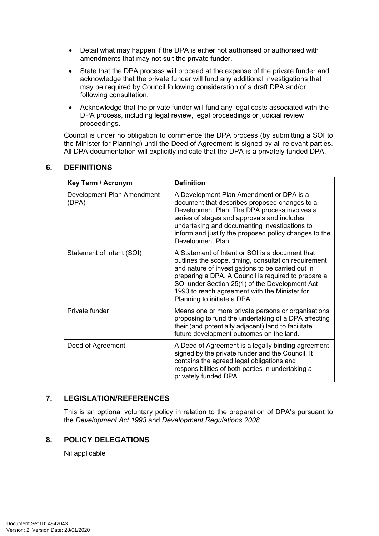- Detail what may happen if the DPA is either not authorised or authorised with amendments that may not suit the private funder.
- State that the DPA process will proceed at the expense of the private funder and acknowledge that the private funder will fund any additional investigations that may be required by Council following consideration of a draft DPA and/or following consultation.
- Acknowledge that the private funder will fund any legal costs associated with the DPA process, including legal review, legal proceedings or judicial review proceedings.

Council is under no obligation to commence the DPA process (by submitting a SOI to the Minister for Planning) until the Deed of Agreement is signed by all relevant parties. All DPA documentation will explicitly indicate that the DPA is a privately funded DPA.

| <b>Key Term / Acronym</b>           | <b>Definition</b>                                                                                                                                                                                                                                                                                                                                     |  |
|-------------------------------------|-------------------------------------------------------------------------------------------------------------------------------------------------------------------------------------------------------------------------------------------------------------------------------------------------------------------------------------------------------|--|
| Development Plan Amendment<br>(DPA) | A Development Plan Amendment or DPA is a<br>document that describes proposed changes to a<br>Development Plan. The DPA process involves a<br>series of stages and approvals and includes<br>undertaking and documenting investigations to<br>inform and justify the proposed policy changes to the<br>Development Plan.                               |  |
| Statement of Intent (SOI)           | A Statement of Intent or SOI is a document that<br>outlines the scope, timing, consultation requirement<br>and nature of investigations to be carried out in<br>preparing a DPA. A Council is required to prepare a<br>SOI under Section 25(1) of the Development Act<br>1993 to reach agreement with the Minister for<br>Planning to initiate a DPA. |  |
| Private funder                      | Means one or more private persons or organisations<br>proposing to fund the undertaking of a DPA affecting<br>their (and potentially adjacent) land to facilitate<br>future development outcomes on the land.                                                                                                                                         |  |
| Deed of Agreement                   | A Deed of Agreement is a legally binding agreement<br>signed by the private funder and the Council. It<br>contains the agreed legal obligations and<br>responsibilities of both parties in undertaking a<br>privately funded DPA.                                                                                                                     |  |

### **6. DEFINITIONS**

## **7. LEGISLATION/REFERENCES**

This is an optional voluntary policy in relation to the preparation of DPA's pursuant to the *Development Act 1993* and *Development Regulations 2008*.

## **8. POLICY DELEGATIONS**

Nil applicable